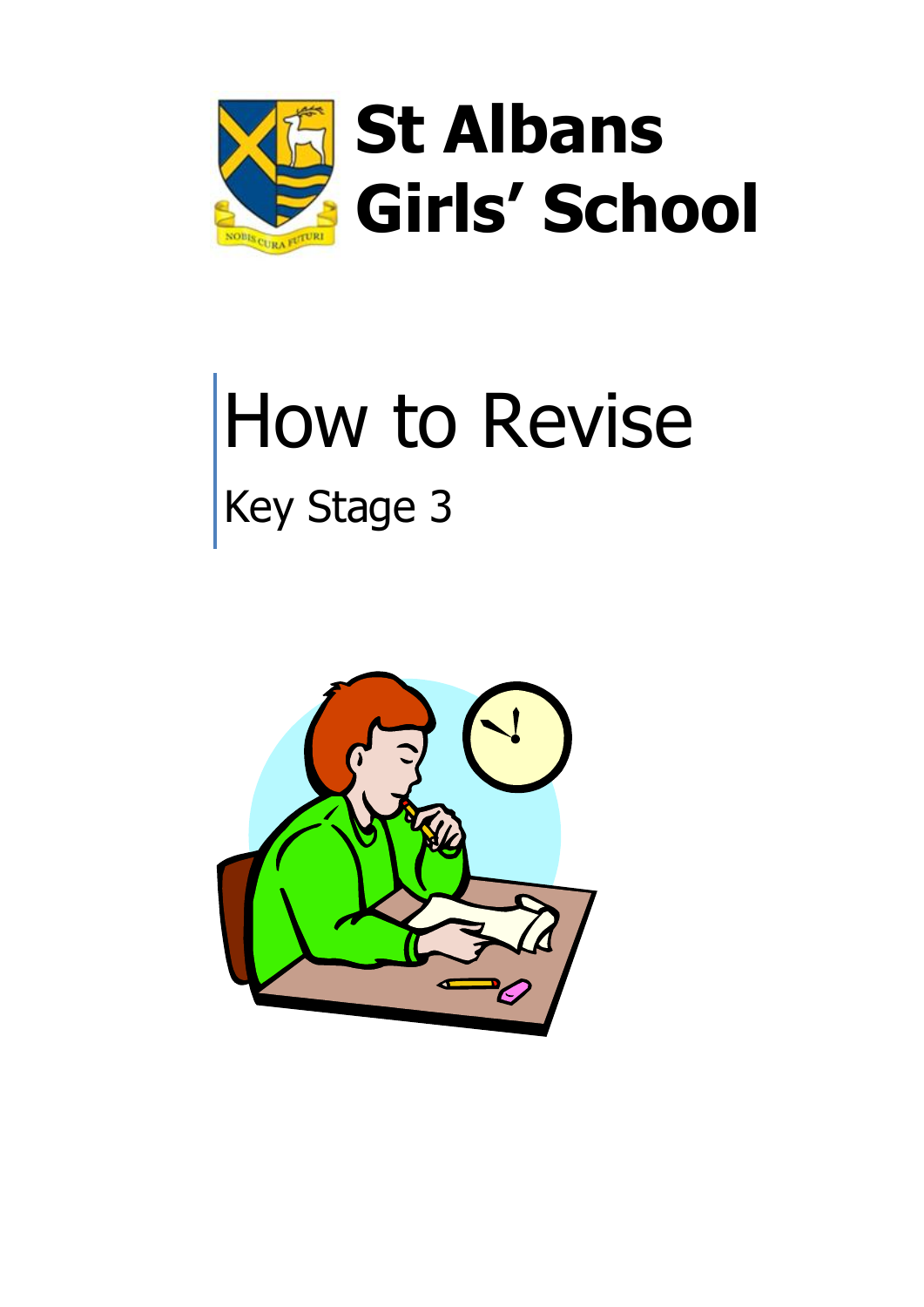

# How to Revise Key Stage 3

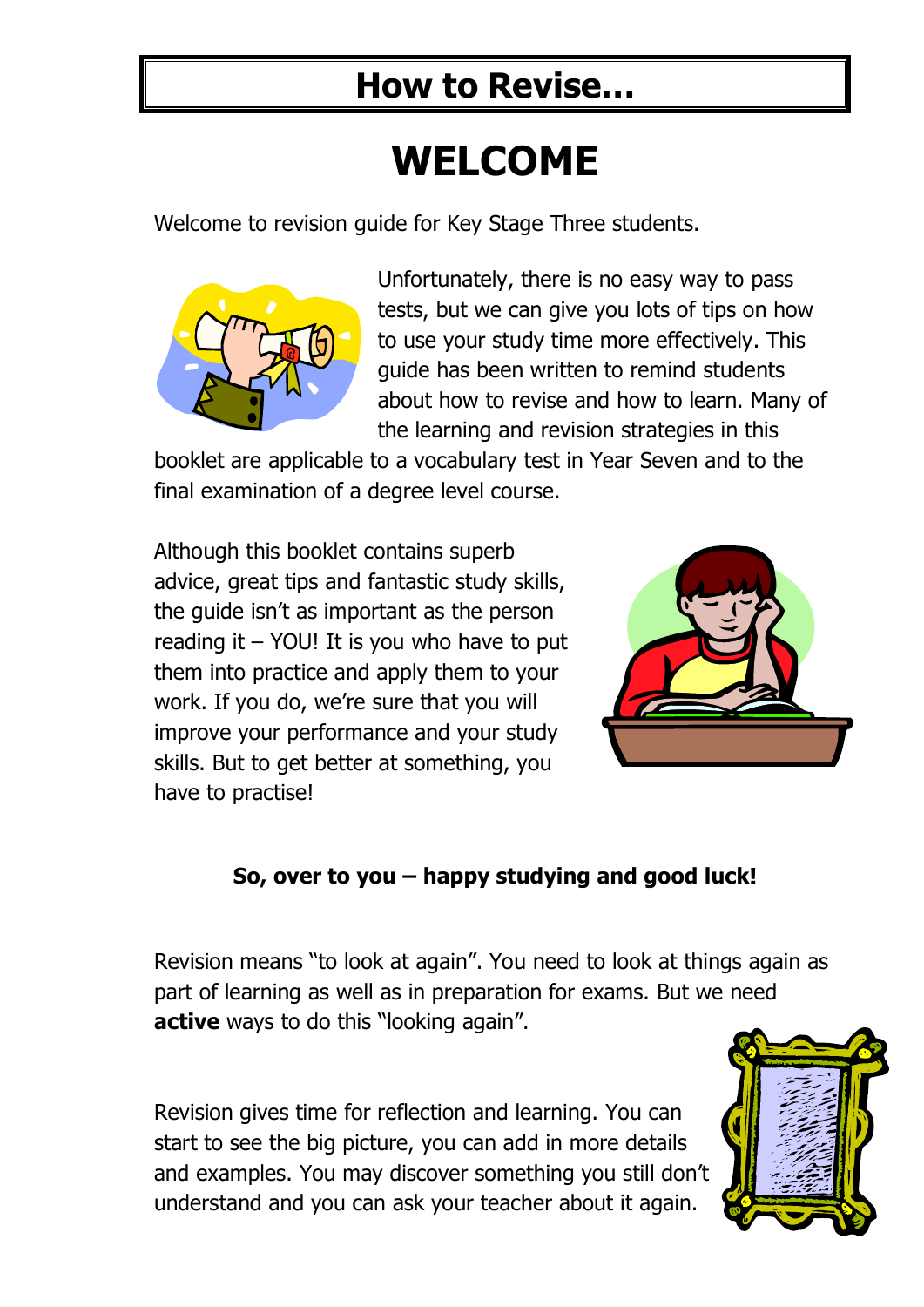## **WELCOME**

Welcome to revision guide for Key Stage Three students.



Unfortunately, there is no easy way to pass tests, but we can give you lots of tips on how to use your study time more effectively. This guide has been written to remind students about how to revise and how to learn. Many of the learning and revision strategies in this

booklet are applicable to a vocabulary test in Year Seven and to the final examination of a degree level course.

Although this booklet contains superb advice, great tips and fantastic study skills, the guide isn't as important as the person reading it – YOU! It is you who have to put them into practice and apply them to your work. If you do, we're sure that you will improve your performance and your study skills. But to get better at something, you have to practise!



#### **So, over to you – happy studying and good luck!**

Revision means "to look at again". You need to look at things again as part of learning as well as in preparation for exams. But we need **active** ways to do this "looking again".

Revision gives time for reflection and learning. You can start to see the big picture, you can add in more details and examples. You may discover something you still don't understand and you can ask your teacher about it again.

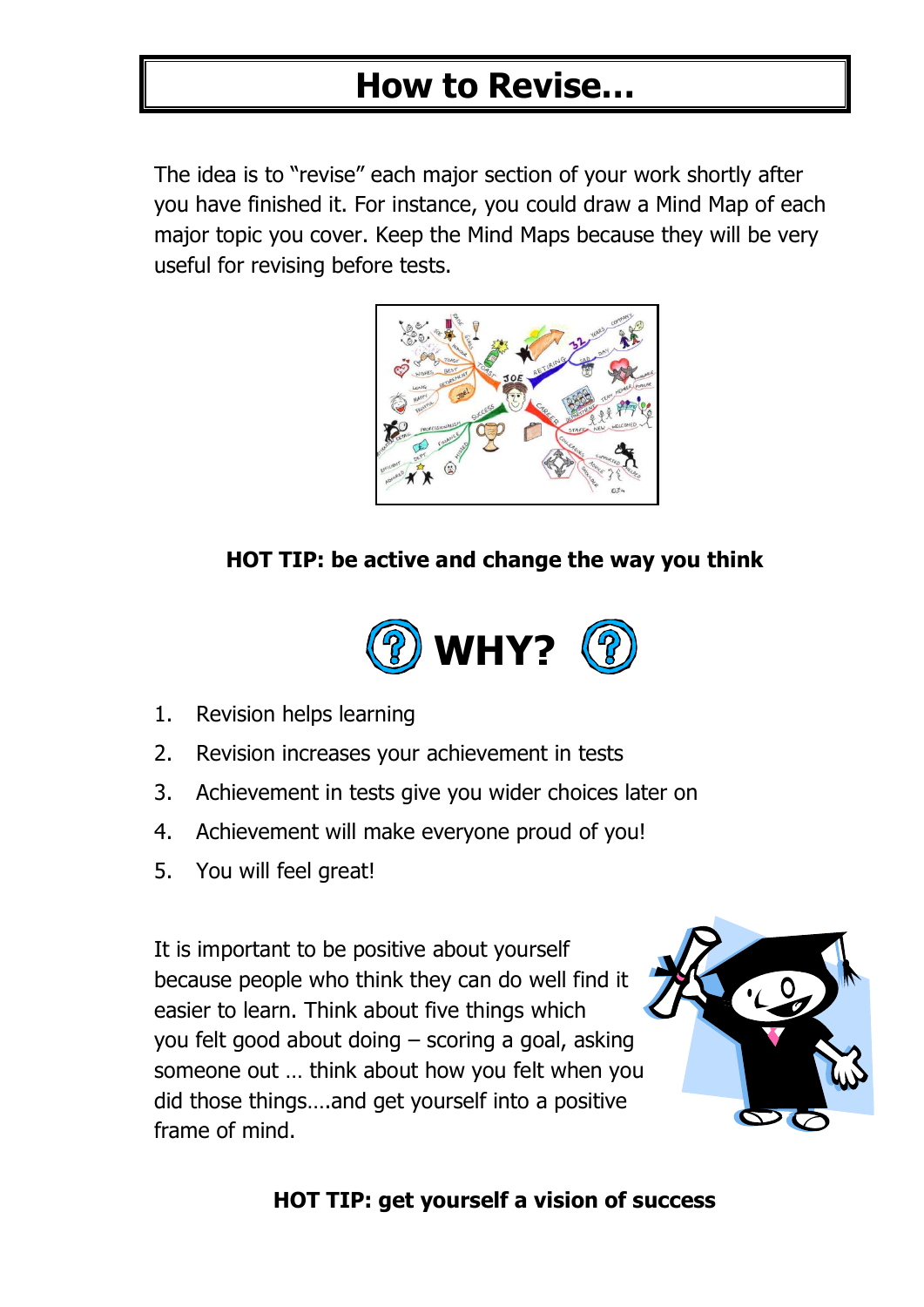The idea is to "revise" each major section of your work shortly after you have finished it. For instance, you could draw a Mind Map of each major topic you cover. Keep the Mind Maps because they will be very useful for revising before tests.



#### **HOT TIP: be active and change the way you think**



- 1. Revision helps learning
- 2. Revision increases your achievement in tests
- 3. Achievement in tests give you wider choices later on
- 4. Achievement will make everyone proud of you!
- 5. You will feel great!

It is important to be positive about yourself because people who think they can do well find it easier to learn. Think about five things which you felt good about doing – scoring a goal, asking someone out … think about how you felt when you did those things….and get yourself into a positive frame of mind.



#### **HOT TIP: get yourself a vision of success**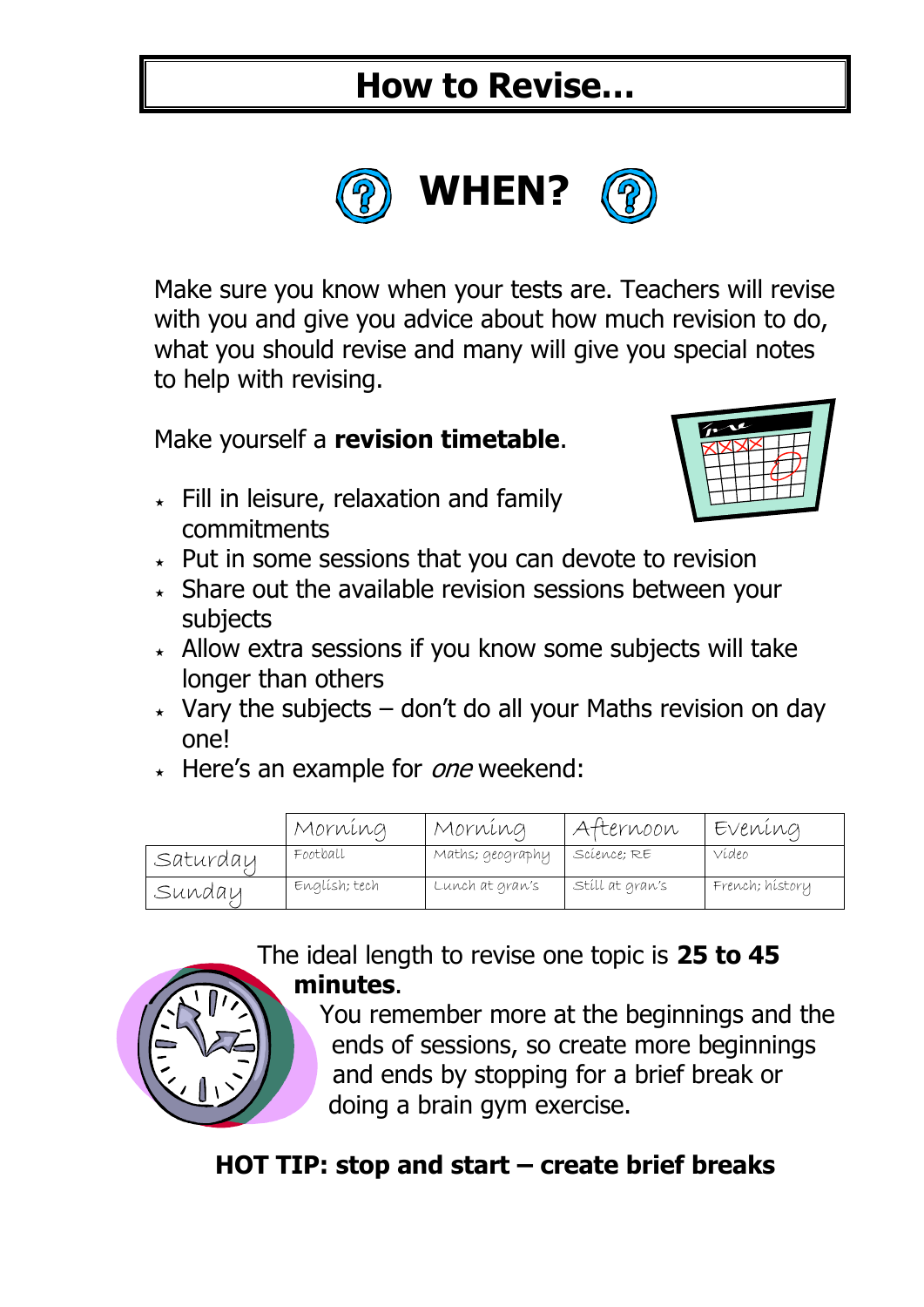

Make sure you know when your tests are. Teachers will revise with you and give you advice about how much revision to do, what you should revise and many will give you special notes to help with revising.

Make yourself a **revision timetable**.

 $\star$  Fill in leisure, relaxation and family commitments



- $\star$  Put in some sessions that you can devote to revision
- $\star$  Share out the available revision sessions between your subjects
- $\star$  Allow extra sessions if you know some subjects will take longer than others
- $\star$  Vary the subjects don't do all your Maths revision on day one!
- $\star$  Here's an example for *one* weekend:

|          | Morníng       | Morning          | Atternoon       | Evening         |
|----------|---------------|------------------|-----------------|-----------------|
| Saturdau | Football      | Maths; geography | Science; RE     | Vídeo           |
| Sunday   | Englísh; tech | Lunch at gran's  | Stíll at gran's | French; hístory |

The ideal length to revise one topic is **25 to 45 minutes**.

> You remember more at the beginnings and the ends of sessions, so create more beginnings and ends by stopping for a brief break or doing a brain gym exercise.

#### **HOT TIP: stop and start – create brief breaks**

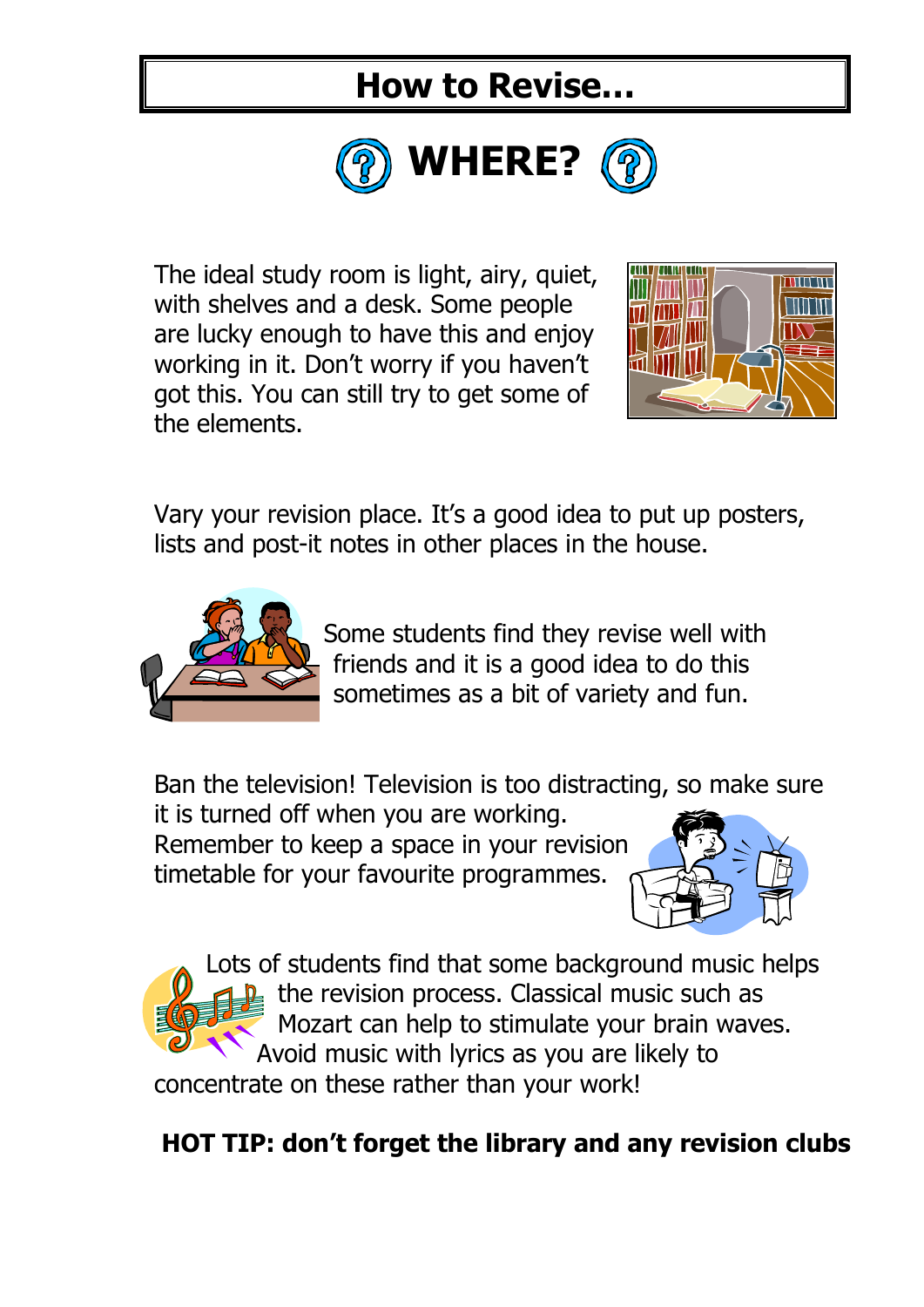

The ideal study room is light, airy, quiet, with shelves and a desk. Some people are lucky enough to have this and enjoy working in it. Don't worry if you haven't got this. You can still try to get some of the elements.



Vary your revision place. It's a good idea to put up posters, lists and post-it notes in other places in the house.



Some students find they revise well with friends and it is a good idea to do this sometimes as a bit of variety and fun.

Ban the television! Television is too distracting, so make sure it is turned off when you are working.

Remember to keep a space in your revision timetable for your favourite programmes.





Lots of students find that some background music helps the revision process. Classical music such as Mozart can help to stimulate your brain waves. Avoid music with lyrics as you are likely to

concentrate on these rather than your work!

#### **HOT TIP: don't forget the library and any revision clubs**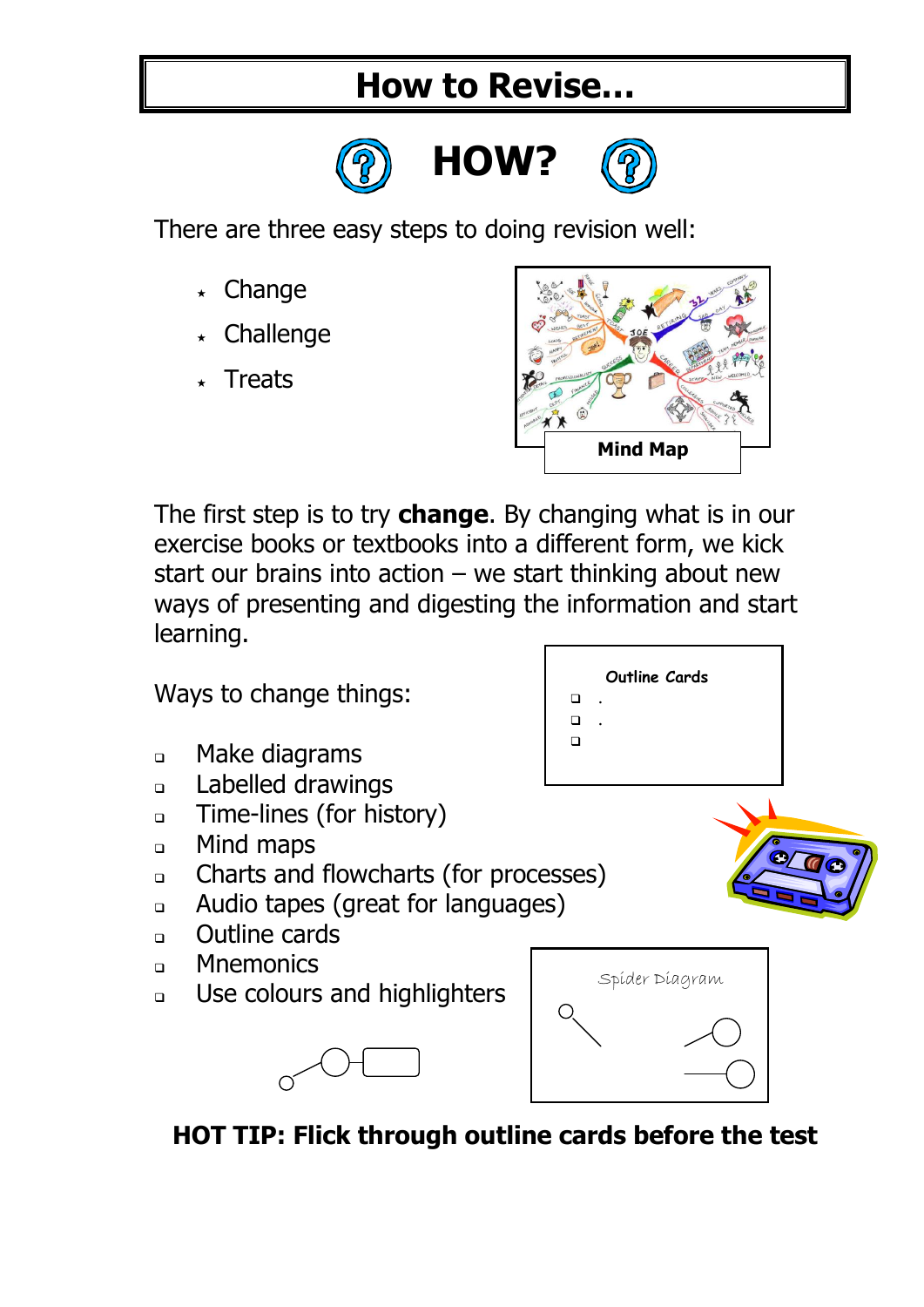

There are three easy steps to doing revision well:

- $\star$  Change
- Challenge
- **Treats**



**Outline Cards**

 . .  $\Box$ 

The first step is to try **change**. By changing what is in our exercise books or textbooks into a different form, we kick start our brains into action  $-$  we start thinking about new ways of presenting and digesting the information and start learning.

Ways to change things:

- Make diagrams
- **Labelled drawings**
- **Time-lines (for history)**
- **D** Mind maps
- Charts and flowcharts (for processes)
- Audio tapes (great for languages)
- **Dutline cards**
- **n** Mnemonics
- **Use colours and highlighters**



**HOT TIP: Flick through outline cards before the test**

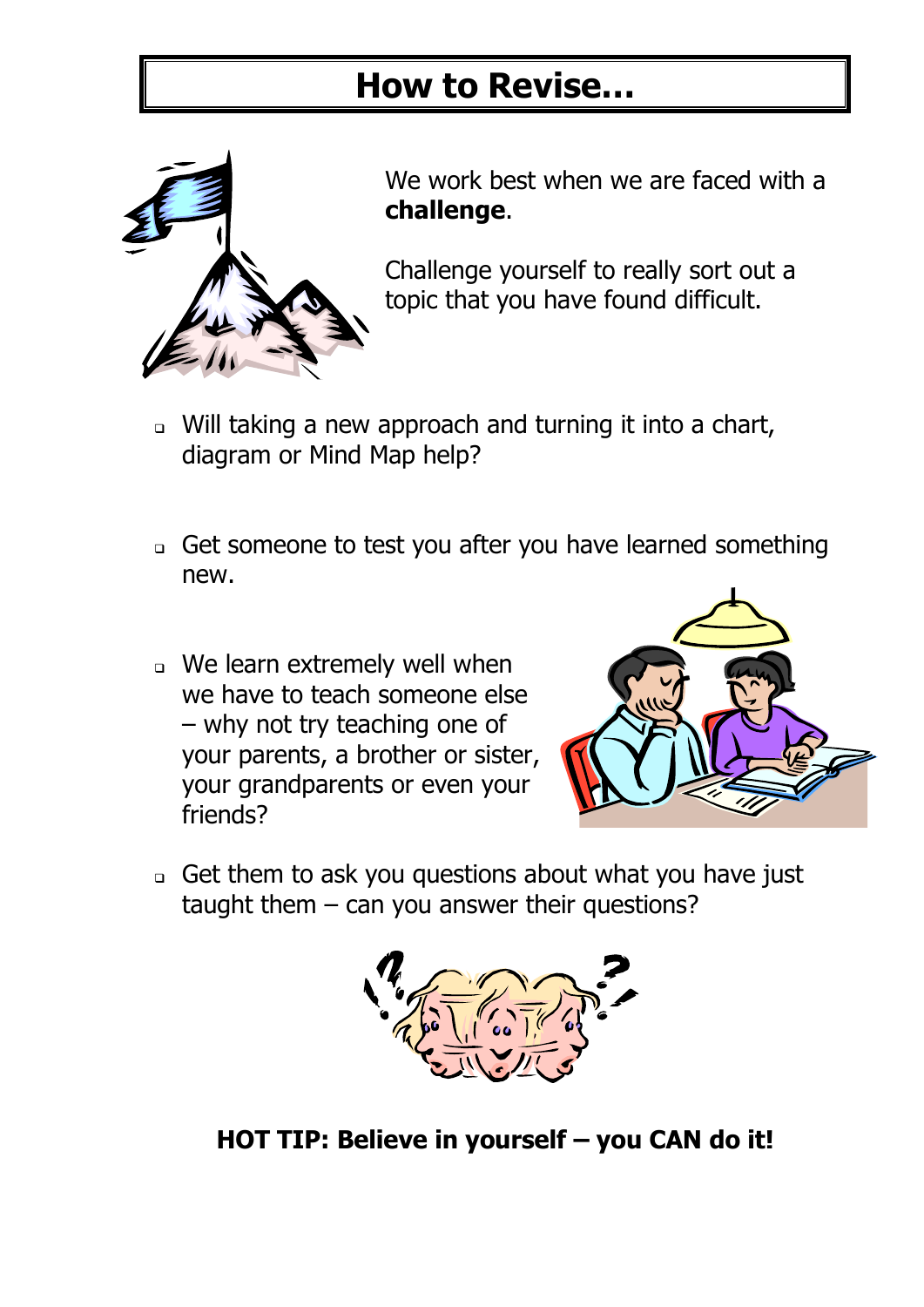

We work best when we are faced with a **challenge**.

Challenge yourself to really sort out a topic that you have found difficult.

- Will taking a new approach and turning it into a chart, diagram or Mind Map help?
- Get someone to test you after you have learned something new.
- We learn extremely well when we have to teach someone else – why not try teaching one of your parents, a brother or sister, your grandparents or even your friends?



 Get them to ask you questions about what you have just taught them  $-$  can you answer their questions?



**HOT TIP: Believe in yourself – you CAN do it!**